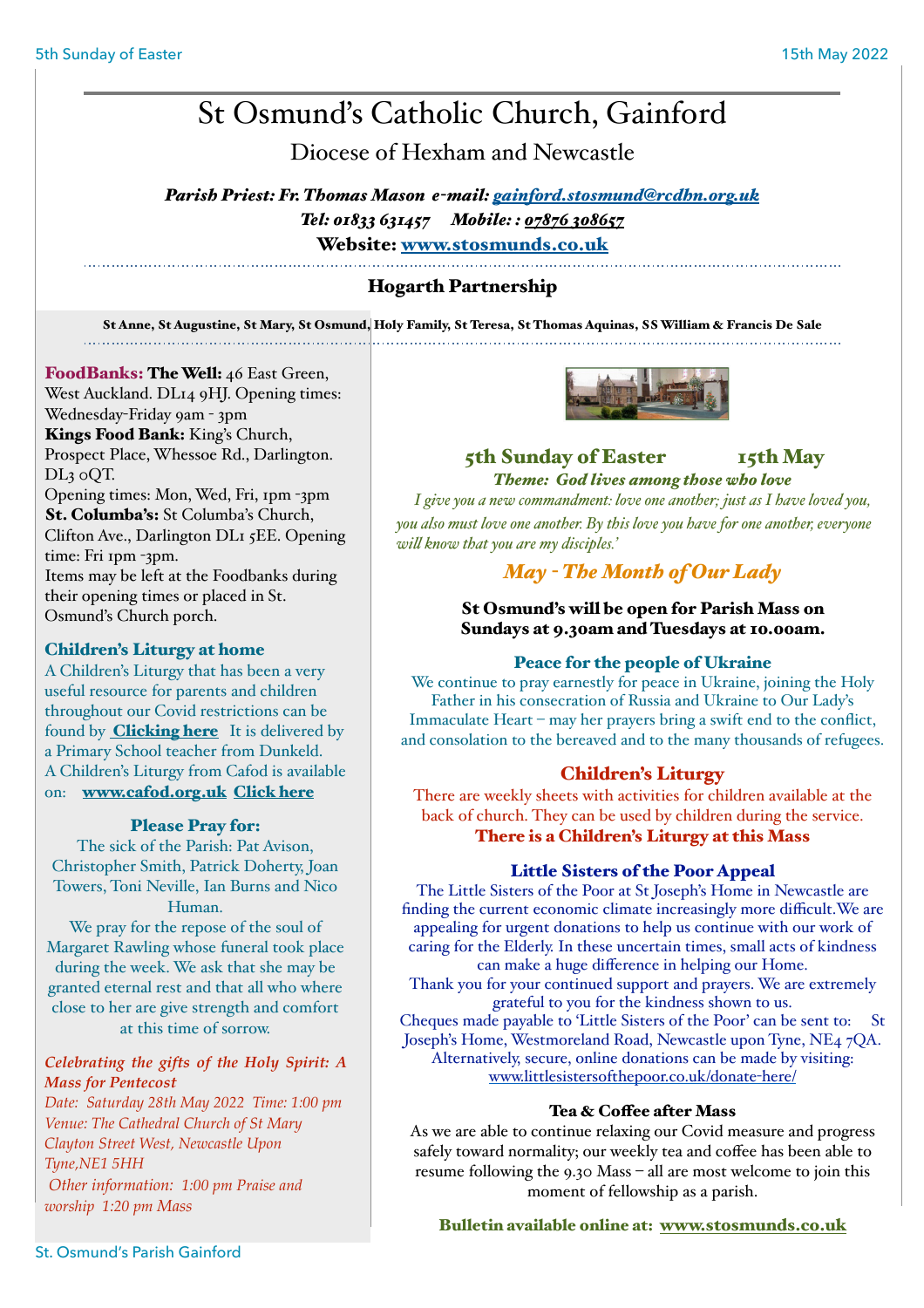# St Osmund's Catholic Church, Gainford

Diocese of Hexham and Newcastle

*Parish Priest: Fr. Thomas Mason e-mail: [gainford.stosmund@rcdhn.org.uk](mailto:gainford.stosmunds@rcdhn.org.uk) Tel: 01833 631457 Mobile: : [07876 308657](tel:07876%20308657)*

Website: [www.stosmunds.co.uk](http://www.stosmunds.co.uk) 

# Hogarth Partnership

St Anne, St Augustine, St Mary, St Osmund, Holy Family, St Teresa, St Thomas Aquinas, SS William & Francis De Sale

# FoodBanks: The Well: 46 East Green,

West Auckland. DL14 9HJ. Opening times: Wednesday-Friday 9am - 3pm Kings Food Bank: King's Church, Prospect Place, Whessoe Rd., Darlington. DL3 0QT.

Opening times: Mon, Wed, Fri, 1pm -3pm St. Columba's: St Columba's Church, Clifton Ave., Darlington DL1 5EE. Opening time: Fri 1pm -3pm. Items may be left at the Foodbanks during their opening times or placed in St.

Osmund's Church porch.

#### Children's Liturgy at home

A Children's Liturgy that has been a very useful resource for parents and children throughout our Covid restrictions can be found by **Clicking here** It is delivered by a Primary School teacher from Dunkeld. A Children's Liturgy from Cafod is available on: [www.cafod.org.uk](http://www.cafod.org.uk) [Click here](https://cafod.org.uk/Education/Children-s-liturgy)

#### Please Pray for:

The sick of the Parish: Pat Avison, Christopher Smith, Patrick Doherty, Joan Towers, Toni Neville, Ian Burns and Nico Human.

We pray for the repose of the soul of Margaret Rawling whose funeral took place during the week. We ask that she may be granted eternal rest and that all who where close to her are give strength and comfort at this time of sorrow.

#### *Celebrating the gifts of the Holy Spirit: A Mass for Pentecost*

*Date: Saturday 28th May 2022 Time: 1:00 pm Venue: The Cathedral Church of St Mary Clayton Street West, Newcastle Upon Tyne,NE1 5HH Other information: 1:00 pm Praise and worship 1:20 pm Mass* 



# 5th Sunday of Easter 15th May *Theme: God lives among those who love*

*I give you a new commandment: love one another; just as I have loved you, you also must love one another. By this love you have for one another, everyone wil know that you are my disciples.'* 

# *May - The Month of Our Lady*

# St Osmund's will be open for Parish Mass on Sundays at 9.30am and Tuesdays at 10.00am.

# Peace for the people of Ukraine

We continue to pray earnestly for peace in Ukraine, joining the Holy Father in his consecration of Russia and Ukraine to Our Lady's Immaculate Heart – may her prayers bring a swift end to the conflict, and consolation to the bereaved and to the many thousands of refugees.

# Children's Liturgy

There are weekly sheets with activities for children available at the back of church. They can be used by children during the service. There is a Children's Liturgy at this Mass

# Little Sisters of the Poor Appeal

The Little Sisters of the Poor at St Joseph's Home in Newcastle are finding the current economic climate increasingly more difficult.We are appealing for urgent donations to help us continue with our work of caring for the Elderly. In these uncertain times, small acts of kindness can make a huge difference in helping our Home.

Thank you for your continued support and prayers. We are extremely grateful to you for the kindness shown to us.

Cheques made payable to 'Little Sisters of the Poor' can be sent to: St Joseph's Home, Westmoreland Road, Newcastle upon Tyne, NE4 7QA. Alternatively, secure, online donations can be made by visiting: [www.littlesistersofthepoor.co.uk/donate](http://www.littlesistersofthepoor.co.uk/donate-here/)-here/

#### Tea & Coffee after Mass

As we are able to continue relaxing our Covid measure and progress safely toward normality; our weekly tea and coffee has been able to resume following the 9.30 Mass – all are most welcome to join this moment of fellowship as a parish.

#### Bulletin available online at: [www.stosmunds.co.uk](http://www.stosmunds.co.uk)

St. Osmund's Parish Gainford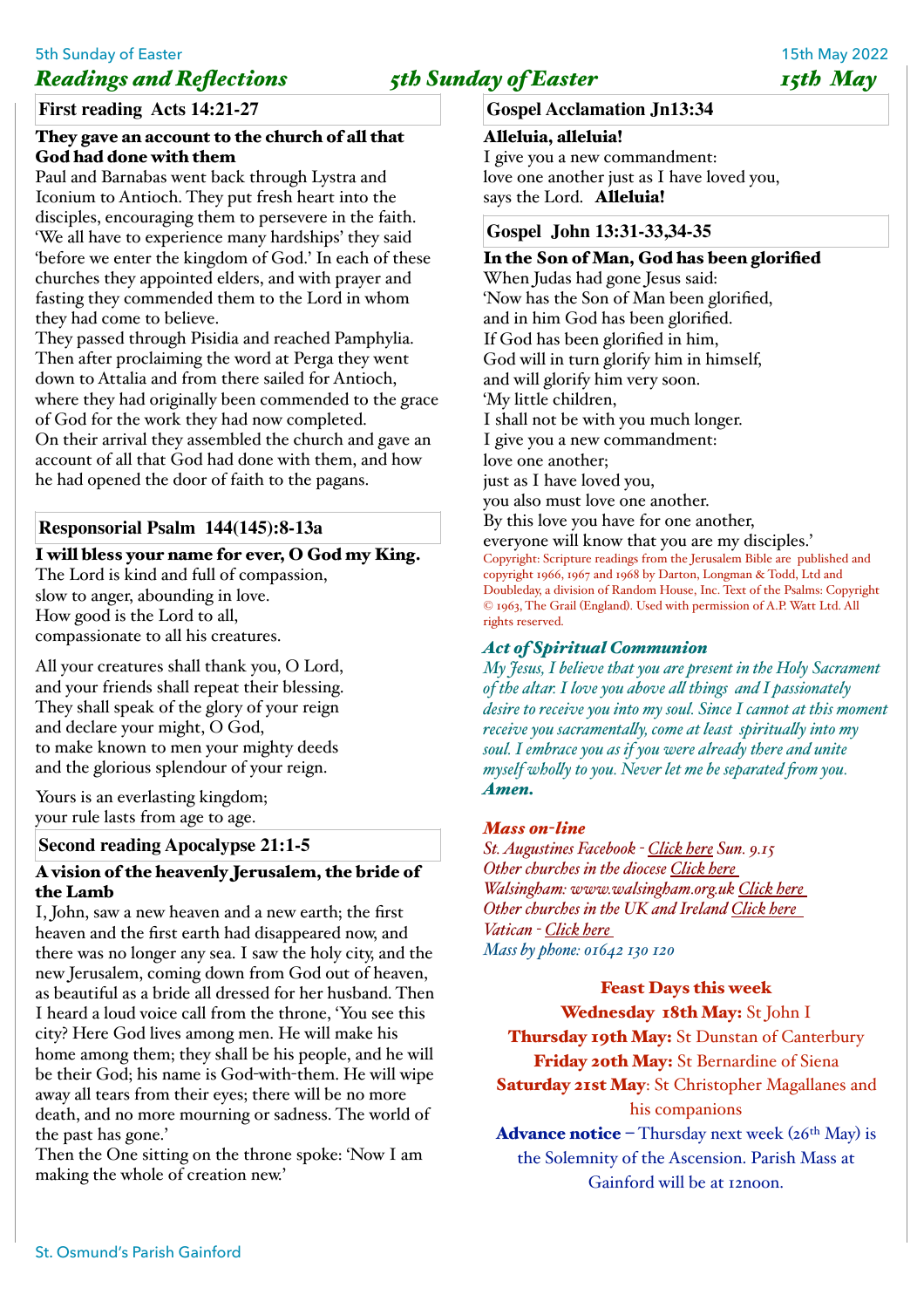# 5th Sunday of Easter 15th May 2022 *Readings and Reflections* 5th Sunday of Easter 5th May

**First reading Acts 14:21-27**

#### They gave an account to the church of all that God had done with them

Paul and Barnabas went back through Lystra and Iconium to Antioch. They put fresh heart into the disciples, encouraging them to persevere in the faith. 'We all have to experience many hardships' they said 'before we enter the kingdom of God.' In each of these churches they appointed elders, and with prayer and fasting they commended them to the Lord in whom they had come to believe.

They passed through Pisidia and reached Pamphylia. Then after proclaiming the word at Perga they went down to Attalia and from there sailed for Antioch, where they had originally been commended to the grace of God for the work they had now completed. On their arrival they assembled the church and gave an account of all that God had done with them, and how he had opened the door of faith to the pagans.

# **Responsorial Psalm 144(145):8-13a**

### I will bless your name for ever, O God my King.

The Lord is kind and full of compassion, slow to anger, abounding in love. How good is the Lord to all, compassionate to all his creatures.

All your creatures shall thank you, O Lord, and your friends shall repeat their blessing. They shall speak of the glory of your reign and declare your might, O God, to make known to men your mighty deeds and the glorious splendour of your reign.

Yours is an everlasting kingdom; your rule lasts from age to age.

# **Second reading Apocalypse 21:1-5**

### A vision of the heavenly Jerusalem, the bride of the Lamb

I, John, saw a new heaven and a new earth; the first heaven and the first earth had disappeared now, and there was no longer any sea. I saw the holy city, and the new Jerusalem, coming down from God out of heaven, as beautiful as a bride all dressed for her husband. Then I heard a loud voice call from the throne, 'You see this city? Here God lives among men. He will make his home among them; they shall be his people, and he will be their God; his name is God-with-them. He will wipe away all tears from their eyes; there will be no more death, and no more mourning or sadness. The world of the past has gone.'

Then the One sitting on the throne spoke: 'Now I am making the whole of creation new.'

## **Gospel Acclamation Jn13:34**

### Alleluia, alleluia!

I give you a new commandment: love one another just as I have loved you, says the Lord. Alleluia!

### **Gospel John 13:31-33,34-35**

# In the Son of Man, God has been glorified

When Judas had gone Jesus said: 'Now has the Son of Man been glorified, and in him God has been glorified. If God has been glorified in him, God will in turn glorify him in himself, and will glorify him very soon. 'My little children, I shall not be with you much longer. I give you a new commandment: love one another; just as I have loved you, you also must love one another. By this love you have for one another, everyone will know that you are my disciples.' Copyright: Scripture readings from the Jerusalem Bible are published and copyright 1966, 1967 and 1968 by Darton, Longman & Todd, Ltd and Doubleday, a division of Random House, Inc. Text of the Psalms: Copyright © 1963, The Grail (England). Used with permission of A.P. Watt Ltd. All

# *Act of Spiritual Communion*

*My Jesus, I believe that you are present in the Holy Sacrament of the altar. I love you above al things and I passionately desire to receive you into my soul. Since I cannot at this moment receive you sacramentaly, come at least spiritualy into my soul. I embrace you as if you were already there and unite myself wholy to you. Never let me be separated fom you. Amen.* 

#### *Mass 0n-line*

rights reserved.

*St. Augustines Facebook - [Click here](https://www.facebook.com/staugustineschurchdarlington/) Sun. 9.15 Other churches in the diocese [Click here](http://www.rcdhn.org.uk/index.php)  Walsingham: www.walsingham.org.uk [Click here](http://www.walsingham.org.uk)  Other churches in the UK and Ireland [Click here](https://www.churchservices.tv/whats-on-now/)  Vatican - [Click here](https://www.catholictv.org/shows/papal-programming)  Mass by phone: 01642 130 120* 

#### Feast Days this week

Wednesday 18th May: St John I

Thursday 19th May: St Dunstan of Canterbury Friday 20th May: St Bernardine of Siena Saturday 21st May: St Christopher Magallanes and

his companions

**Advance notice** – Thursday next week  $(26<sup>th</sup> May)$  is the Solemnity of the Ascension. Parish Mass at Gainford will be at 12noon.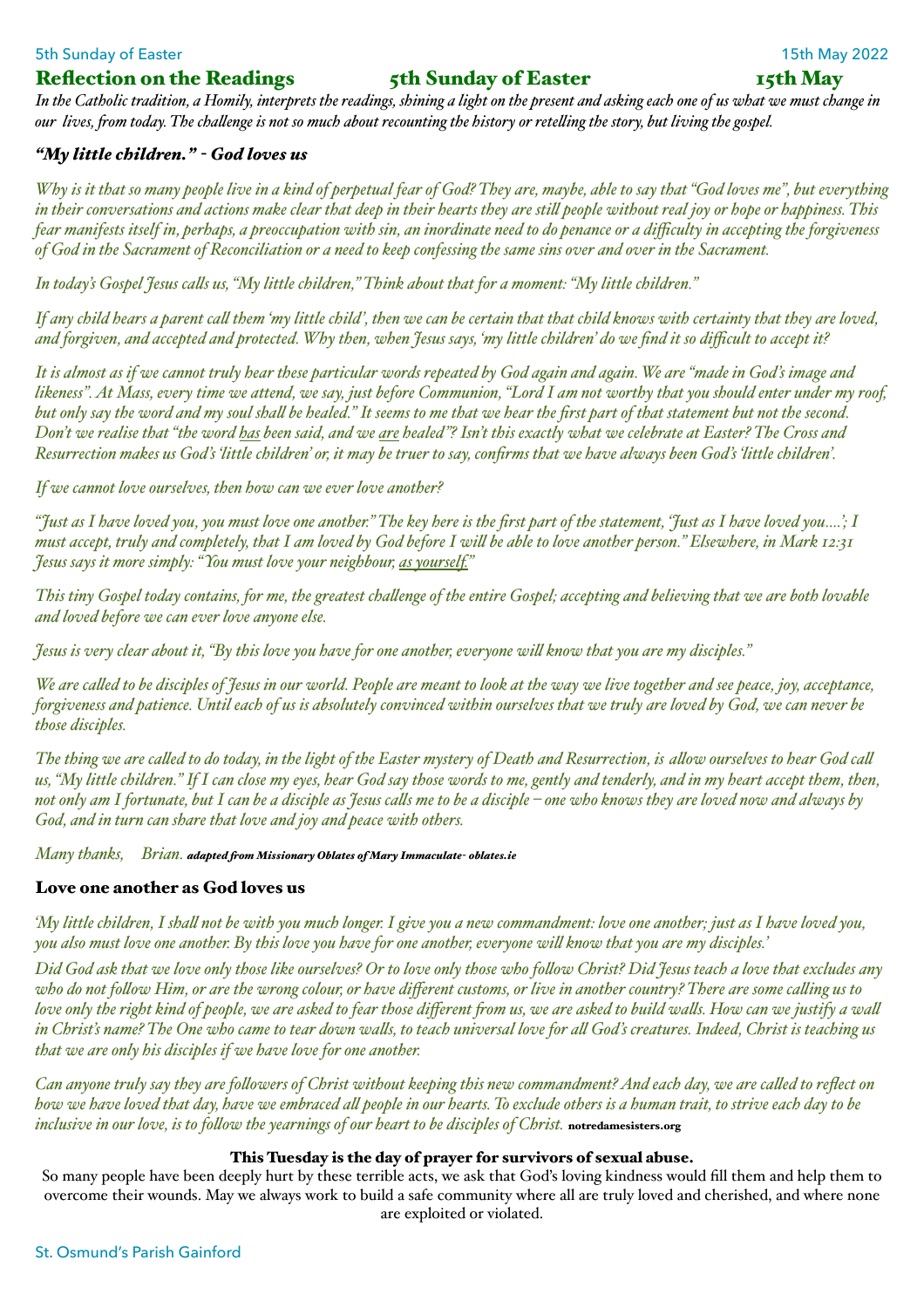### 5th Sunday of Easter 15th May 2022

### Reflection on the Readings 5th Sunday of Easter 15th May

*In the Catholic tradition, a Homily, interprets the readings, shining a light on the present and asking each one of us what we must change in our lives, fom today. The chalenge is not so much about recounting the history or reteling the story, but living the gospel.* 

#### *"My little children." - God loves us*

*Why is it that so many people live in a kind of perpetual fear of God? They are, maybe, able to say that "God loves me", but everything in their conversations and actions make clear that deep in their hearts they are stil people without real joy or hope or happiness. This fear manifests itself in, perhaps, a preoccupation with sin, an inordinate need to do penance or a difficulty in accepting the forgiveness of God in the Sacrament of Reconciliation or a need to keep confessing the same sins over and over in the Sacrament.*

*In today's Gospel Jesus cals us, "My little children," Think about that for a moment: "My little children."*

*If any child hears a parent cal them 'my little child', then we can be certain that that child knows with certainty that they are loved, and forgiven, and accepted and protected. Why then, when Jesus says, 'my little children' do we find it so difficult to accept it?*

*It is almost as if we cannot truly hear these particular words repeated by God again and again. We are "made in God's image and likeness". At Mass, every time we attend, we say, just before Communion, "Lord I am not worthy that you should enter under my roof, but only say the word and my soul shal be healed." It seems to me that we hear the first part of that statement but not the second. Don't we realise that "the word has been said, and we are healed"? Isn't this exactly what we celebrate at Easter? The Cross and Resurrection makes us God's 'little children' or, it may be truer to say, confirms that we have always been God's 'little children'.*

*If we cannot love ourselves, then how can we ever love another?*

*"Just as I have loved you, you must love one another." The key here is the first part of the statement, 'Just as I have loved you….'; I must accept, truly and completely, that I am loved by God before I wil be able to love another person." Elsewhere, in Mark 12:31 Jesus says it more simply: "You must love your neighbour, as yourself."*

*This tiny Gospel today contains, for me, the greatest chalenge of the entire Gospel; accepting and believing that we are both lovable and loved before we can ever love anyone else.*

*Jesus is very clear about it, "By this love you have for one another, everyone wil know that you are my disciples."*

*We are caled to be disciples of Jesus in our world. People are meant to look at the way we live together and see peace, joy, acceptance, forgiveness and patience. Until each of us is absolutely convinced within ourselves that we truly are loved by God, we can never be those disciples.*

*The thing we are caled to do today, in the light of the Easter mystery of Death and Resurrection, is alow ourselves to hear God cal us, "My little children." If I can close my eyes, hear God say those words to me, gently and tenderly, and in my heart accept them, then, not only am I fortunate, but I can be a disciple as Jesus cals me to be a disciple – one who knows they are loved now and always by God, and in turn can share that love and joy and peace with others.* 

*Many thanks, Brian. adapted fom Missionary Oblates of Mary Immaculate- oblates.ie*

#### Love one another as God loves us

*'My little children, I shal not be with you much longer. I give you a new commandment: love one another; just as I have loved you, you also must love one another. By this love you have for one another, everyone wil know that you are my disciples.'*

*Did God ask that we love only those like ourselves? Or to love only those who folow Christ? Did Jesus teach a love that excludes any who do not folow Him, or are the wrong colour, or have different customs, or live in another country? There are some caling us to love only the right kind of people, we are asked to fear those different fom us, we are asked to build wals. How can we justify a wal in Christ's name? The One who came to tear down wals, to teach universal love for al God's creatures. Indeed, Christ is teaching us that we are only his disciples if we have love for one another.*

*Can anyone truly say they are folowers of Christ without keeping this new commandment? And each day, we are caled to reflect on how we have loved that day, have we embraced al people in our hearts. To exclude others is a human trait, to strive each day to be inclusive in our love, is to folow the yearnings of our heart to be disciples of Christ.* notredamesisters.org

#### This Tuesday is the day of prayer for survivors of sexual abuse.

So many people have been deeply hurt by these terrible acts, we ask that God's loving kindness would fill them and help them to overcome their wounds. May we always work to build a safe community where all are truly loved and cherished, and where none are exploited or violated.